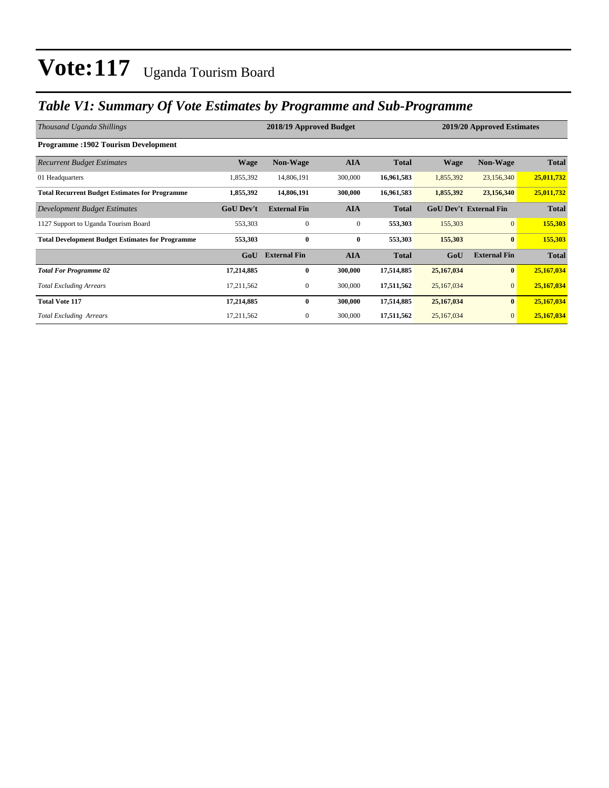### *Table V1: Summary Of Vote Estimates by Programme and Sub-Programme*

| Thousand Uganda Shillings                               | 2018/19 Approved Budget<br>2019/20 Approved Estimates |                     |              |              |                               |                     |              |
|---------------------------------------------------------|-------------------------------------------------------|---------------------|--------------|--------------|-------------------------------|---------------------|--------------|
| <b>Programme: 1902 Tourism Development</b>              |                                                       |                     |              |              |                               |                     |              |
| <b>Recurrent Budget Estimates</b>                       | <b>Wage</b>                                           | <b>Non-Wage</b>     | <b>AIA</b>   | <b>Total</b> | <b>Wage</b>                   | <b>Non-Wage</b>     | <b>Total</b> |
| 01 Headquarters                                         | 1,855,392                                             | 14,806,191          | 300,000      | 16,961,583   | 1,855,392                     | 23,156,340          | 25,011,732   |
| <b>Total Recurrent Budget Estimates for Programme</b>   | 1,855,392                                             | 14,806,191          | 300,000      | 16,961,583   | 1,855,392                     | 23,156,340          | 25,011,732   |
| Development Budget Estimates                            | <b>GoU Dev't</b>                                      | <b>External Fin</b> | <b>AIA</b>   | <b>Total</b> | <b>GoU Dev't External Fin</b> |                     | <b>Total</b> |
| 1127 Support to Uganda Tourism Board                    | 553,303                                               | $\mathbf{0}$        | $\mathbf{0}$ | 553,303      | 155,303                       | $\overline{0}$      | 155,303      |
| <b>Total Development Budget Estimates for Programme</b> | 553,303                                               | $\bf{0}$            | $\bf{0}$     | 553,303      | 155,303                       | $\bf{0}$            | 155,303      |
|                                                         | GoU                                                   | <b>External Fin</b> | <b>AIA</b>   | <b>Total</b> | GoU                           | <b>External Fin</b> | <b>Total</b> |
| <b>Total For Programme 02</b>                           | 17,214,885                                            | $\bf{0}$            | 300,000      | 17,514,885   | 25,167,034                    | $\bf{0}$            | 25,167,034   |
| <b>Total Excluding Arrears</b>                          | 17,211,562                                            | $\boldsymbol{0}$    | 300,000      | 17,511,562   | 25,167,034                    | $\mathbf{0}$        | 25,167,034   |
| <b>Total Vote 117</b>                                   | 17,214,885                                            | $\bf{0}$            | 300,000      | 17,514,885   | 25,167,034                    | $\bf{0}$            | 25,167,034   |
| <b>Total Excluding Arrears</b>                          | 17,211,562                                            | $\mathbf{0}$        | 300,000      | 17,511,562   | 25,167,034                    | $\mathbf{0}$        | 25,167,034   |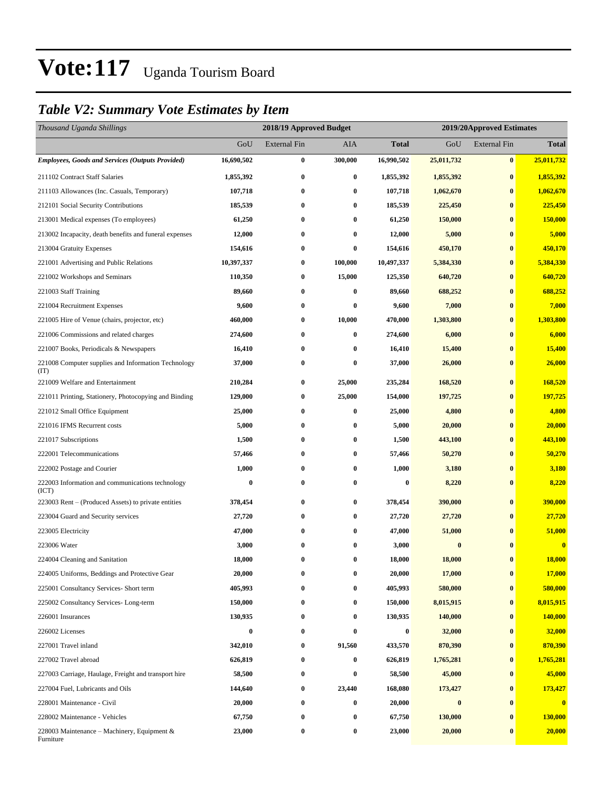### *Table V2: Summary Vote Estimates by Item*

| Thousand Uganda Shillings                                   | 2018/19 Approved Budget |                     |          |              | 2019/20Approved Estimates |                     |              |  |  |
|-------------------------------------------------------------|-------------------------|---------------------|----------|--------------|---------------------------|---------------------|--------------|--|--|
|                                                             | GoU                     | <b>External Fin</b> | AIA      | <b>Total</b> | GoU                       | <b>External Fin</b> | <b>Total</b> |  |  |
| <b>Employees, Goods and Services (Outputs Provided)</b>     | 16,690,502              | $\bf{0}$            | 300,000  | 16,990,502   | 25,011,732                | $\bf{0}$            | 25,011,732   |  |  |
| 211102 Contract Staff Salaries                              | 1,855,392               | $\bf{0}$            | $\bf{0}$ | 1,855,392    | 1,855,392                 | $\bf{0}$            | 1,855,392    |  |  |
| 211103 Allowances (Inc. Casuals, Temporary)                 | 107,718                 | 0                   | $\bf{0}$ | 107,718      | 1,062,670                 | $\bf{0}$            | 1,062,670    |  |  |
| 212101 Social Security Contributions                        | 185,539                 | 0                   | $\bf{0}$ | 185,539      | 225,450                   | $\bf{0}$            | 225,450      |  |  |
| 213001 Medical expenses (To employees)                      | 61,250                  | 0                   | 0        | 61,250       | 150,000                   | $\bf{0}$            | 150,000      |  |  |
| 213002 Incapacity, death benefits and funeral expenses      | 12,000                  | $\bf{0}$            | $\bf{0}$ | 12,000       | 5,000                     | $\bf{0}$            | 5,000        |  |  |
| 213004 Gratuity Expenses                                    | 154,616                 | $\bf{0}$            | $\bf{0}$ | 154,616      | 450,170                   | $\bf{0}$            | 450,170      |  |  |
| 221001 Advertising and Public Relations                     | 10,397,337              | 0                   | 100,000  | 10,497,337   | 5,384,330                 | $\bf{0}$            | 5,384,330    |  |  |
| 221002 Workshops and Seminars                               | 110,350                 | $\bf{0}$            | 15,000   | 125,350      | 640,720                   | $\bf{0}$            | 640,720      |  |  |
| 221003 Staff Training                                       | 89,660                  | $\bf{0}$            | $\bf{0}$ | 89,660       | 688,252                   | $\bf{0}$            | 688,252      |  |  |
| 221004 Recruitment Expenses                                 | 9,600                   | 0                   | $\bf{0}$ | 9,600        | 7,000                     | $\bf{0}$            | 7,000        |  |  |
| 221005 Hire of Venue (chairs, projector, etc)               | 460,000                 | $\bf{0}$            | 10,000   | 470,000      | 1,303,800                 | $\bf{0}$            | 1,303,800    |  |  |
| 221006 Commissions and related charges                      | 274,600                 | 0                   | $\bf{0}$ | 274,600      | 6,000                     | $\bf{0}$            | 6,000        |  |  |
| 221007 Books, Periodicals & Newspapers                      | 16,410                  | 0                   | $\bf{0}$ | 16,410       | 15,400                    | $\bf{0}$            | 15,400       |  |  |
| 221008 Computer supplies and Information Technology<br>(TT) | 37,000                  | $\bf{0}$            | $\bf{0}$ | 37,000       | 26,000                    | $\bf{0}$            | 26,000       |  |  |
| 221009 Welfare and Entertainment                            | 210,284                 | 0                   | 25,000   | 235,284      | 168,520                   | $\bf{0}$            | 168,520      |  |  |
| 221011 Printing, Stationery, Photocopying and Binding       | 129,000                 | 0                   | 25,000   | 154,000      | 197,725                   | $\bf{0}$            | 197,725      |  |  |
| 221012 Small Office Equipment                               | 25,000                  | $\bf{0}$            | $\bf{0}$ | 25,000       | 4,800                     | $\bf{0}$            | 4,800        |  |  |
| 221016 IFMS Recurrent costs                                 | 5,000                   | 0                   | $\bf{0}$ | 5,000        | 20,000                    | $\bf{0}$            | 20,000       |  |  |
| 221017 Subscriptions                                        | 1,500                   | $\bf{0}$            | $\bf{0}$ | 1,500        | 443,100                   | $\bf{0}$            | 443,100      |  |  |
| 222001 Telecommunications                                   | 57,466                  | 0                   | $\bf{0}$ | 57,466       | 50,270                    | $\bf{0}$            | 50,270       |  |  |
| 222002 Postage and Courier                                  | 1,000                   | 0                   | $\bf{0}$ | 1,000        | 3,180                     | $\bf{0}$            | 3,180        |  |  |
| 222003 Information and communications technology<br>(ICT)   | $\bf{0}$                | $\bf{0}$            | $\bf{0}$ | $\bf{0}$     | 8,220                     | $\bf{0}$            | 8,220        |  |  |
| 223003 Rent – (Produced Assets) to private entities         | 378,454                 | $\bf{0}$            | $\bf{0}$ | 378,454      | 390,000                   | $\bf{0}$            | 390,000      |  |  |
| 223004 Guard and Security services                          | 27,720                  | 0                   | $\bf{0}$ | 27,720       | 27,720                    | $\bf{0}$            | 27,720       |  |  |
| 223005 Electricity                                          | 47,000                  | 0                   | $\bf{0}$ | 47,000       | 51,000                    | $\bf{0}$            | 51,000       |  |  |
| 223006 Water                                                | 3,000                   | $\bf{0}$            | $\bf{0}$ | 3,000        | $\bf{0}$                  | $\bf{0}$            | $\bf{0}$     |  |  |
| 224004 Cleaning and Sanitation                              | 18,000                  | $\bf{0}$            | $\bf{0}$ | 18,000       | 18,000                    | $\bf{0}$            | 18,000       |  |  |
| 224005 Uniforms, Beddings and Protective Gear               | 20,000                  | 0                   | $\bf{0}$ | 20,000       | 17,000                    | $\bf{0}$            | 17,000       |  |  |
| 225001 Consultancy Services- Short term                     | 405,993                 | 0                   | $\bf{0}$ | 405,993      | 580,000                   | $\bf{0}$            | 580,000      |  |  |
| 225002 Consultancy Services-Long-term                       | 150,000                 | $\bf{0}$            | $\bf{0}$ | 150,000      | 8,015,915                 | $\bf{0}$            | 8,015,915    |  |  |
| 226001 Insurances                                           | 130,935                 | $\bf{0}$            | $\bf{0}$ | 130,935      | 140,000                   | $\bf{0}$            | 140,000      |  |  |
| 226002 Licenses                                             | $\bf{0}$                | $\boldsymbol{0}$    | $\bf{0}$ | $\bf{0}$     | 32,000                    | $\bf{0}$            | 32,000       |  |  |
| 227001 Travel inland                                        | 342,010                 | $\boldsymbol{0}$    | 91,560   | 433,570      | 870,390                   | $\bf{0}$            | 870,390      |  |  |
| 227002 Travel abroad                                        | 626,819                 | 0                   | $\bf{0}$ | 626,819      | 1,765,281                 | $\bf{0}$            | 1,765,281    |  |  |
| 227003 Carriage, Haulage, Freight and transport hire        | 58,500                  | 0                   | $\bf{0}$ | 58,500       | 45,000                    | $\bf{0}$            | 45,000       |  |  |
| 227004 Fuel, Lubricants and Oils                            | 144,640                 | $\bf{0}$            | 23,440   | 168,080      | 173,427                   | $\bf{0}$            | 173,427      |  |  |
| 228001 Maintenance - Civil                                  | 20,000                  | $\bf{0}$            | $\bf{0}$ | 20,000       | $\boldsymbol{0}$          | $\bf{0}$            | $\bf{0}$     |  |  |
| 228002 Maintenance - Vehicles                               | 67,750                  | $\bf{0}$            | $\bf{0}$ | 67,750       | 130,000                   | $\bf{0}$            | 130,000      |  |  |
| 228003 Maintenance – Machinery, Equipment $\&$<br>Furniture | 23,000                  | $\boldsymbol{0}$    | $\bf{0}$ | 23,000       | 20,000                    | $\bf{0}$            | 20,000       |  |  |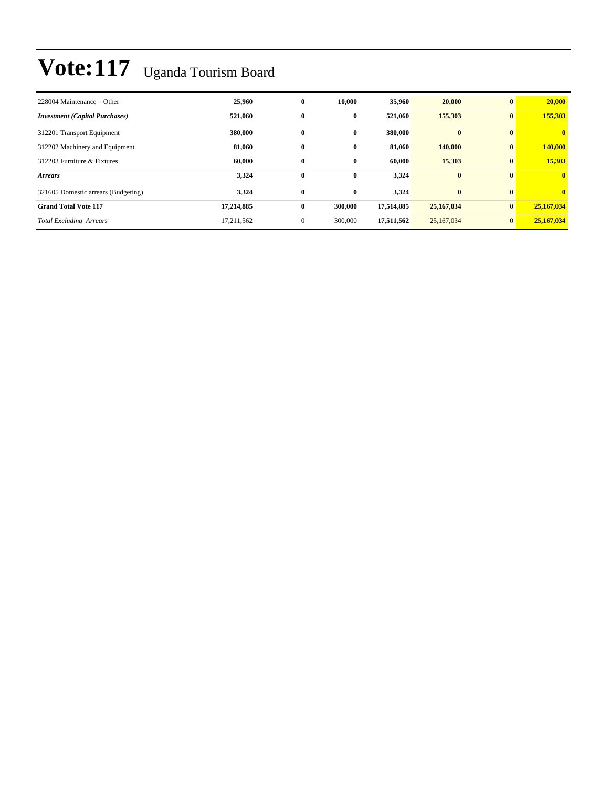| 228004 Maintenance – Other            | 25,960     | $\bf{0}$     | 10.000       | 35,960     | 20,000       | $\mathbf{0}$ | 20,000                  |
|---------------------------------------|------------|--------------|--------------|------------|--------------|--------------|-------------------------|
| <b>Investment</b> (Capital Purchases) | 521,060    | $\bf{0}$     | $\bf{0}$     | 521,060    | 155,303      | $\bf{0}$     | 155,303                 |
| 312201 Transport Equipment            | 380,000    | $\bf{0}$     | $\bf{0}$     | 380,000    | $\mathbf{0}$ | $\mathbf{0}$ | $\overline{\mathbf{0}}$ |
| 312202 Machinery and Equipment        | 81,060     | $\bf{0}$     | $\bf{0}$     | 81,060     | 140,000      | $\bf{0}$     | 140,000                 |
| 312203 Furniture & Fixtures           | 60.000     | $\bf{0}$     | $\bf{0}$     | 60.000     | 15,303       | $\bf{0}$     | 15,303                  |
| <b>Arrears</b>                        | 3,324      | $\mathbf{0}$ | $\mathbf{0}$ | 3,324      | $\mathbf{0}$ | $\mathbf{0}$ | $\mathbf{0}$            |
| 321605 Domestic arrears (Budgeting)   | 3,324      | $\bf{0}$     | $\bf{0}$     | 3,324      | $\bf{0}$     | $\bf{0}$     | $\overline{0}$          |
| <b>Grand Total Vote 117</b>           | 17,214,885 | $\bf{0}$     | 300,000      | 17,514,885 | 25,167,034   | $\bf{0}$     | 25,167,034              |
| <b>Total Excluding Arrears</b>        | 17,211,562 | $\mathbf{0}$ | 300,000      | 17,511,562 | 25,167,034   | $\mathbf{0}$ | 25,167,034              |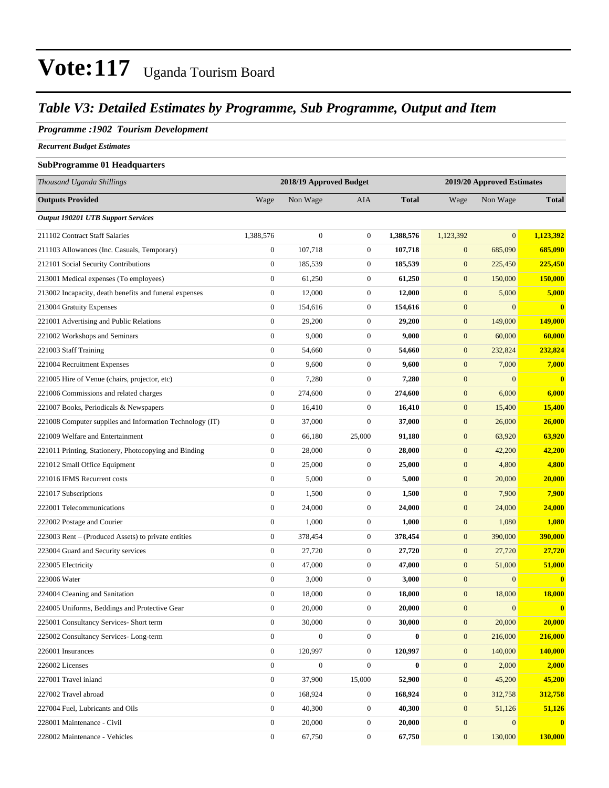### *Table V3: Detailed Estimates by Programme, Sub Programme, Output and Item*

#### *Programme :1902 Tourism Development*

*Recurrent Budget Estimates*

#### **SubProgramme 01 Headquarters**

| Thousand Uganda Shillings                                |                  | 2018/19 Approved Budget |                  |              | 2019/20 Approved Estimates |                  |                |
|----------------------------------------------------------|------------------|-------------------------|------------------|--------------|----------------------------|------------------|----------------|
| <b>Outputs Provided</b>                                  | Wage             | Non Wage                | AIA              | <b>Total</b> | Wage                       | Non Wage         | <b>Total</b>   |
| <b>Output 190201 UTB Support Services</b>                |                  |                         |                  |              |                            |                  |                |
| 211102 Contract Staff Salaries                           | 1,388,576        | $\boldsymbol{0}$        | $\boldsymbol{0}$ | 1,388,576    | 1,123,392                  | $\mathbf{0}$     | 1,123,392      |
| 211103 Allowances (Inc. Casuals, Temporary)              | $\boldsymbol{0}$ | 107,718                 | $\boldsymbol{0}$ | 107,718      | $\boldsymbol{0}$           | 685,090          | 685,090        |
| 212101 Social Security Contributions                     | $\boldsymbol{0}$ | 185,539                 | $\boldsymbol{0}$ | 185,539      | $\boldsymbol{0}$           | 225,450          | 225,450        |
| 213001 Medical expenses (To employees)                   | $\boldsymbol{0}$ | 61,250                  | $\boldsymbol{0}$ | 61,250       | $\boldsymbol{0}$           | 150,000          | <b>150,000</b> |
| 213002 Incapacity, death benefits and funeral expenses   | $\boldsymbol{0}$ | 12,000                  | $\boldsymbol{0}$ | 12,000       | $\boldsymbol{0}$           | 5,000            | 5,000          |
| 213004 Gratuity Expenses                                 | $\boldsymbol{0}$ | 154,616                 | $\boldsymbol{0}$ | 154,616      | $\boldsymbol{0}$           | $\mathbf{0}$     | $\bf{0}$       |
| 221001 Advertising and Public Relations                  | $\boldsymbol{0}$ | 29,200                  | $\boldsymbol{0}$ | 29,200       | $\boldsymbol{0}$           | 149,000          | 149,000        |
| 221002 Workshops and Seminars                            | $\boldsymbol{0}$ | 9,000                   | $\boldsymbol{0}$ | 9,000        | $\boldsymbol{0}$           | 60,000           | 60,000         |
| 221003 Staff Training                                    | $\boldsymbol{0}$ | 54,660                  | $\boldsymbol{0}$ | 54,660       | $\boldsymbol{0}$           | 232,824          | 232,824        |
| 221004 Recruitment Expenses                              | $\boldsymbol{0}$ | 9,600                   | $\boldsymbol{0}$ | 9,600        | $\boldsymbol{0}$           | 7,000            | 7,000          |
| 221005 Hire of Venue (chairs, projector, etc)            | $\boldsymbol{0}$ | 7,280                   | $\boldsymbol{0}$ | 7,280        | $\boldsymbol{0}$           | $\mathbf{0}$     | $\bf{0}$       |
| 221006 Commissions and related charges                   | $\boldsymbol{0}$ | 274,600                 | $\boldsymbol{0}$ | 274,600      | $\mathbf{0}$               | 6,000            | 6,000          |
| 221007 Books, Periodicals & Newspapers                   | $\boldsymbol{0}$ | 16,410                  | $\boldsymbol{0}$ | 16,410       | $\boldsymbol{0}$           | 15,400           | 15,400         |
| 221008 Computer supplies and Information Technology (IT) | $\boldsymbol{0}$ | 37,000                  | $\boldsymbol{0}$ | 37,000       | $\boldsymbol{0}$           | 26,000           | 26,000         |
| 221009 Welfare and Entertainment                         | $\boldsymbol{0}$ | 66,180                  | 25,000           | 91,180       | $\boldsymbol{0}$           | 63,920           | 63,920         |
| 221011 Printing, Stationery, Photocopying and Binding    | $\boldsymbol{0}$ | 28,000                  | $\boldsymbol{0}$ | 28,000       | $\boldsymbol{0}$           | 42,200           | 42,200         |
| 221012 Small Office Equipment                            | $\boldsymbol{0}$ | 25,000                  | $\boldsymbol{0}$ | 25,000       | $\boldsymbol{0}$           | 4,800            | 4,800          |
| 221016 IFMS Recurrent costs                              | $\boldsymbol{0}$ | 5,000                   | $\boldsymbol{0}$ | 5,000        | $\boldsymbol{0}$           | 20,000           | 20,000         |
| 221017 Subscriptions                                     | $\boldsymbol{0}$ | 1,500                   | $\boldsymbol{0}$ | 1,500        | $\boldsymbol{0}$           | 7,900            | 7,900          |
| 222001 Telecommunications                                | $\boldsymbol{0}$ | 24,000                  | $\boldsymbol{0}$ | 24,000       | $\boldsymbol{0}$           | 24,000           | 24,000         |
| 222002 Postage and Courier                               | $\boldsymbol{0}$ | 1,000                   | $\boldsymbol{0}$ | 1,000        | $\boldsymbol{0}$           | 1,080            | 1,080          |
| 223003 Rent – (Produced Assets) to private entities      | $\boldsymbol{0}$ | 378,454                 | $\boldsymbol{0}$ | 378,454      | $\boldsymbol{0}$           | 390,000          | 390,000        |
| 223004 Guard and Security services                       | $\boldsymbol{0}$ | 27,720                  | $\boldsymbol{0}$ | 27,720       | $\boldsymbol{0}$           | 27,720           | 27,720         |
| 223005 Electricity                                       | $\boldsymbol{0}$ | 47,000                  | $\boldsymbol{0}$ | 47,000       | $\boldsymbol{0}$           | 51,000           | 51,000         |
| 223006 Water                                             | $\boldsymbol{0}$ | 3,000                   | $\boldsymbol{0}$ | 3,000        | $\boldsymbol{0}$           | $\mathbf{0}$     | $\mathbf{0}$   |
| 224004 Cleaning and Sanitation                           | $\boldsymbol{0}$ | 18,000                  | $\boldsymbol{0}$ | 18,000       | $\boldsymbol{0}$           | 18,000           | 18,000         |
| 224005 Uniforms, Beddings and Protective Gear            | $\boldsymbol{0}$ | 20,000                  | $\boldsymbol{0}$ | 20,000       | $\boldsymbol{0}$           | $\boldsymbol{0}$ | $\mathbf{0}$   |
| 225001 Consultancy Services- Short term                  | $\boldsymbol{0}$ | 30,000                  | $\boldsymbol{0}$ | 30,000       | $\boldsymbol{0}$           | 20,000           | 20,000         |
| 225002 Consultancy Services-Long-term                    | $\overline{0}$   | $\boldsymbol{0}$        | $\overline{0}$   | $\bf{0}$     | $\boldsymbol{0}$           | 216,000          | 216,000        |
| 226001 Insurances                                        | $\overline{0}$   | 120,997                 | $\mathbf{0}$     | 120,997      | $\boldsymbol{0}$           | 140,000          | 140,000        |
| 226002 Licenses                                          | $\boldsymbol{0}$ | $\boldsymbol{0}$        | $\mathbf{0}$     | $\bf{0}$     | $\boldsymbol{0}$           | 2,000            | 2,000          |
| 227001 Travel inland                                     | $\boldsymbol{0}$ | 37,900                  | 15,000           | 52,900       | $\mathbf{0}$               | 45,200           | 45,200         |
| 227002 Travel abroad                                     | $\boldsymbol{0}$ | 168,924                 | $\boldsymbol{0}$ | 168,924      | $\mathbf{0}$               | 312,758          | 312,758        |
| 227004 Fuel, Lubricants and Oils                         | $\overline{0}$   | 40,300                  | $\boldsymbol{0}$ | 40,300       | $\boldsymbol{0}$           | 51,126           | 51,126         |
| 228001 Maintenance - Civil                               | $\boldsymbol{0}$ | 20,000                  | $\boldsymbol{0}$ | 20,000       | $\boldsymbol{0}$           | $\mathbf{0}$     | $\mathbf{0}$   |
| 228002 Maintenance - Vehicles                            | $\boldsymbol{0}$ | 67,750                  | $\overline{0}$   | 67,750       | $\boldsymbol{0}$           | 130,000          | 130,000        |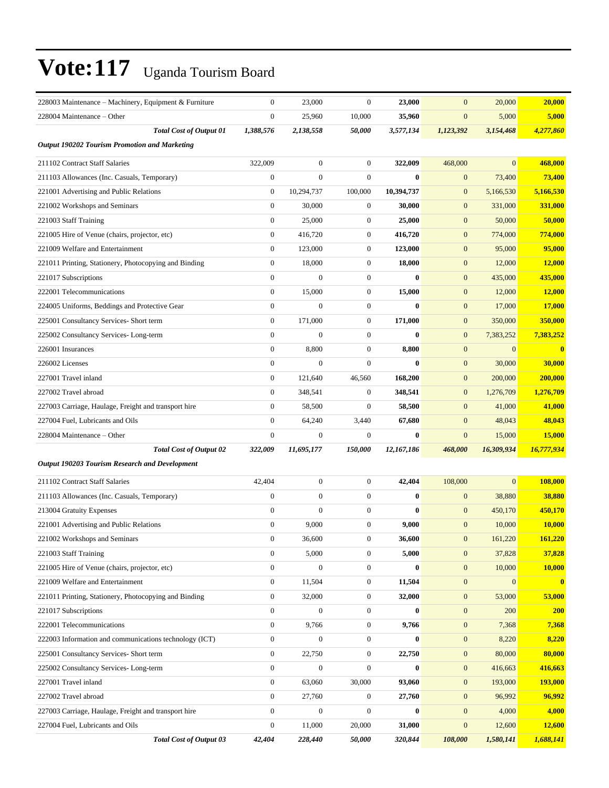| 228003 Maintenance – Machinery, Equipment & Furniture  | $\mathbf{0}$     | 23,000           | $\mathbf{0}$     | 23,000       | $\mathbf{0}$     | 20,000         | 20,000         |
|--------------------------------------------------------|------------------|------------------|------------------|--------------|------------------|----------------|----------------|
| 228004 Maintenance – Other                             | $\boldsymbol{0}$ | 25,960           | 10,000           | 35,960       | $\mathbf{0}$     | 5,000          | 5,000          |
| <b>Total Cost of Output 01</b>                         | 1,388,576        | 2,138,558        | 50,000           | 3,577,134    | 1,123,392        | 3,154,468      | 4,277,860      |
| <b>Output 190202 Tourism Promotion and Marketing</b>   |                  |                  |                  |              |                  |                |                |
| 211102 Contract Staff Salaries                         | 322,009          | $\boldsymbol{0}$ | $\boldsymbol{0}$ | 322,009      | 468,000          | $\overline{0}$ | 468,000        |
| 211103 Allowances (Inc. Casuals, Temporary)            | $\boldsymbol{0}$ | $\boldsymbol{0}$ | $\boldsymbol{0}$ | $\bf{0}$     | $\boldsymbol{0}$ | 73,400         | 73,400         |
| 221001 Advertising and Public Relations                | $\boldsymbol{0}$ | 10,294,737       | 100,000          | 10,394,737   | $\mathbf{0}$     | 5,166,530      | 5,166,530      |
| 221002 Workshops and Seminars                          | $\mathbf{0}$     | 30,000           | $\boldsymbol{0}$ | 30,000       | $\mathbf{0}$     | 331,000        | <b>331,000</b> |
| 221003 Staff Training                                  | $\mathbf{0}$     | 25,000           | $\boldsymbol{0}$ | 25,000       | $\mathbf{0}$     | 50,000         | 50,000         |
| 221005 Hire of Venue (chairs, projector, etc)          | $\boldsymbol{0}$ | 416,720          | $\boldsymbol{0}$ | 416,720      | $\mathbf{0}$     | 774,000        | 774,000        |
| 221009 Welfare and Entertainment                       | $\boldsymbol{0}$ | 123,000          | $\boldsymbol{0}$ | 123,000      | $\mathbf{0}$     | 95,000         | 95,000         |
| 221011 Printing, Stationery, Photocopying and Binding  | $\boldsymbol{0}$ | 18,000           | $\boldsymbol{0}$ | 18,000       | $\mathbf{0}$     | 12,000         | 12,000         |
| 221017 Subscriptions                                   | $\overline{0}$   | $\mathbf{0}$     | $\boldsymbol{0}$ | $\mathbf{0}$ | $\mathbf{0}$     | 435,000        | 435,000        |
| 222001 Telecommunications                              | $\mathbf{0}$     | 15,000           | $\boldsymbol{0}$ | 15,000       | $\mathbf{0}$     | 12,000         | 12,000         |
| 224005 Uniforms, Beddings and Protective Gear          | $\mathbf{0}$     | $\mathbf{0}$     | $\boldsymbol{0}$ | $\bf{0}$     | $\mathbf{0}$     | 17,000         | 17,000         |
| 225001 Consultancy Services- Short term                | $\boldsymbol{0}$ | 171,000          | $\boldsymbol{0}$ | 171,000      | $\mathbf{0}$     | 350,000        | 350,000        |
| 225002 Consultancy Services-Long-term                  | $\boldsymbol{0}$ | $\boldsymbol{0}$ | $\boldsymbol{0}$ | $\bf{0}$     | $\mathbf{0}$     | 7,383,252      | 7,383,252      |
| 226001 Insurances                                      | $\boldsymbol{0}$ | 8,800            | $\boldsymbol{0}$ | 8,800        | $\mathbf{0}$     | $\overline{0}$ | $\mathbf{0}$   |
| 226002 Licenses                                        | $\mathbf{0}$     | $\mathbf{0}$     | $\mathbf{0}$     | $\mathbf{0}$ | $\mathbf{0}$     | 30,000         | 30,000         |
| 227001 Travel inland                                   | $\mathbf{0}$     | 121,640          | 46,560           | 168,200      | $\mathbf{0}$     | 200,000        | 200,000        |
| 227002 Travel abroad                                   | $\mathbf{0}$     | 348,541          | $\boldsymbol{0}$ | 348,541      | $\mathbf{0}$     | 1,276,709      | 1,276,709      |
| 227003 Carriage, Haulage, Freight and transport hire   | $\boldsymbol{0}$ | 58,500           | $\boldsymbol{0}$ | 58,500       | $\mathbf{0}$     | 41,000         | 41,000         |
| 227004 Fuel, Lubricants and Oils                       | $\mathbf{0}$     | 64,240           | 3,440            | 67,680       | $\mathbf{0}$     | 48,043         | 48,043         |
| 228004 Maintenance - Other                             | $\mathbf{0}$     | $\boldsymbol{0}$ | $\mathbf{0}$     | $\mathbf{0}$ | $\mathbf{0}$     | 15,000         | 15,000         |
| <b>Total Cost of Output 02</b>                         | 322,009          | 11,695,177       | 150,000          | 12,167,186   | 468,000          | 16,309,934     | 16,777,934     |
| <b>Output 190203 Tourism Research and Development</b>  |                  |                  |                  |              |                  |                |                |
| 211102 Contract Staff Salaries                         | 42,404           | $\boldsymbol{0}$ | $\boldsymbol{0}$ | 42,404       | 108,000          | $\overline{0}$ | 108,000        |
| 211103 Allowances (Inc. Casuals, Temporary)            | $\boldsymbol{0}$ | $\boldsymbol{0}$ | $\boldsymbol{0}$ | $\bf{0}$     | $\mathbf{0}$     | 38,880         | 38,880         |
| 213004 Gratuity Expenses                               | $\mathbf{0}$     | $\boldsymbol{0}$ | $\boldsymbol{0}$ | $\bf{0}$     | $\mathbf{0}$     | 450,170        | 450,170        |
| 221001 Advertising and Public Relations                | $\boldsymbol{0}$ | 9,000            | $\boldsymbol{0}$ | 9,000        | $\mathbf{0}$     | 10,000         | 10,000         |
| 221002 Workshops and Seminars                          | $\boldsymbol{0}$ | 36,600           | 0                | 36,600       | $\mathbf{0}$     | 161,220        | 161,220        |
| 221003 Staff Training                                  | $\mathbf{0}$     | 5,000            | $\boldsymbol{0}$ | 5,000        | $\mathbf{0}$     | 37,828         | 37,828         |
| 221005 Hire of Venue (chairs, projector, etc)          | $\overline{0}$   | $\boldsymbol{0}$ | $\boldsymbol{0}$ | $\bf{0}$     | $\mathbf{0}$     | 10,000         | 10,000         |
| 221009 Welfare and Entertainment                       | $\overline{0}$   | 11,504           | $\boldsymbol{0}$ | 11,504       | $\mathbf{0}$     | $\mathbf{0}$   | $\bf{0}$       |
| 221011 Printing, Stationery, Photocopying and Binding  | $\boldsymbol{0}$ |                  | $\boldsymbol{0}$ | 32,000       | $\mathbf{0}$     | 53,000         | 53,000         |
|                                                        |                  | 32,000           |                  |              |                  |                |                |
| 221017 Subscriptions                                   | $\boldsymbol{0}$ | $\boldsymbol{0}$ | $\boldsymbol{0}$ | $\bf{0}$     | $\boldsymbol{0}$ | 200            | 200            |
| 222001 Telecommunications                              | $\boldsymbol{0}$ | 9,766            | 0                | 9,766        | $\mathbf{0}$     | 7,368          | 7,368          |
| 222003 Information and communications technology (ICT) | $\overline{0}$   | $\boldsymbol{0}$ | $\boldsymbol{0}$ | $\bf{0}$     | $\mathbf{0}$     | 8,220          | 8,220          |
| 225001 Consultancy Services- Short term                | $\boldsymbol{0}$ | 22,750           | $\boldsymbol{0}$ | 22,750       | $\mathbf{0}$     | 80,000         | 80,000         |
| 225002 Consultancy Services-Long-term                  | $\boldsymbol{0}$ | $\boldsymbol{0}$ | $\boldsymbol{0}$ | $\bf{0}$     | $\mathbf{0}$     | 416,663        | 416,663        |
| 227001 Travel inland                                   | $\overline{0}$   | 63,060           | 30,000           | 93,060       | $\mathbf{0}$     | 193,000        | 193,000        |
| 227002 Travel abroad                                   | $\boldsymbol{0}$ | 27,760           | 0                | 27,760       | $\mathbf{0}$     | 96,992         | 96,992         |
| 227003 Carriage, Haulage, Freight and transport hire   | $\overline{0}$   | $\boldsymbol{0}$ | $\boldsymbol{0}$ | $\bf{0}$     | $\mathbf{0}$     | 4,000          | 4,000          |
| 227004 Fuel, Lubricants and Oils                       | $\boldsymbol{0}$ | 11,000           | 20,000           | 31,000       | $\mathbf{0}$     | 12,600         | <b>12,600</b>  |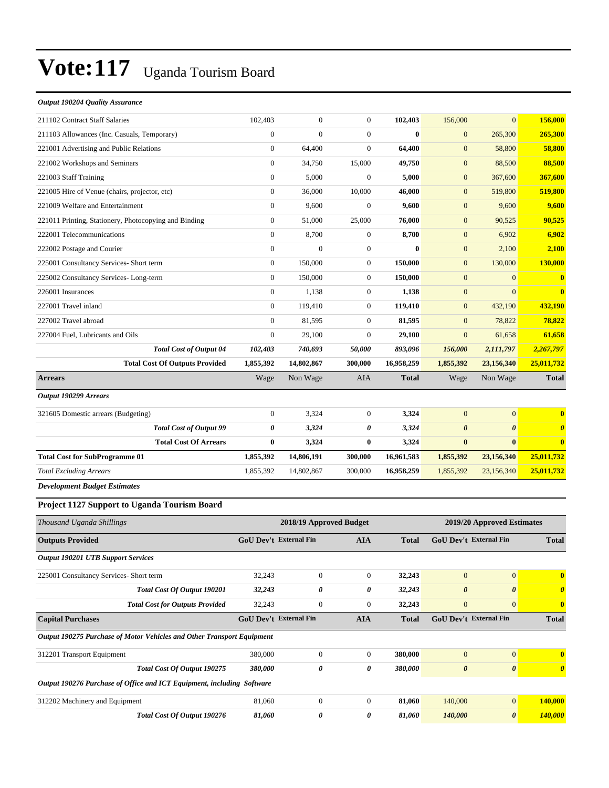#### *Output 190204 Quality Assurance*

| 211102 Contract Staff Salaries                                         | 102,403                       | $\mathbf{0}$            | $\mathbf{0}$          | 102,403            | 156,000                            | $\overline{0}$                            | 156,000                           |
|------------------------------------------------------------------------|-------------------------------|-------------------------|-----------------------|--------------------|------------------------------------|-------------------------------------------|-----------------------------------|
| 211103 Allowances (Inc. Casuals, Temporary)                            | $\overline{0}$                | $\mathbf{0}$            | $\mathbf{0}$          | $\bf{0}$           | $\mathbf{0}$                       | 265,300                                   | 265,300                           |
| 221001 Advertising and Public Relations                                | $\boldsymbol{0}$              | 64,400                  | $\boldsymbol{0}$      | 64,400             | $\boldsymbol{0}$                   | 58,800                                    | 58,800                            |
| 221002 Workshops and Seminars                                          | $\boldsymbol{0}$              | 34,750                  | 15,000                | 49,750             | $\boldsymbol{0}$                   | 88,500                                    | 88.500                            |
| 221003 Staff Training                                                  | $\boldsymbol{0}$              | 5,000                   | $\overline{0}$        | 5,000              | $\mathbf{0}$                       | 367,600                                   | 367,600                           |
| 221005 Hire of Venue (chairs, projector, etc)                          | $\boldsymbol{0}$              | 36,000                  | 10,000                | 46,000             | $\boldsymbol{0}$                   | 519,800                                   | 519,800                           |
| 221009 Welfare and Entertainment                                       | $\overline{0}$                | 9,600                   | $\boldsymbol{0}$      | 9,600              | $\boldsymbol{0}$                   | 9,600                                     | 9,600                             |
| 221011 Printing, Stationery, Photocopying and Binding                  | $\boldsymbol{0}$              | 51,000                  | 25,000                | 76,000             | $\boldsymbol{0}$                   | 90,525                                    | 90,525                            |
| 222001 Telecommunications                                              | $\boldsymbol{0}$              | 8,700                   | $\mathbf{0}$          | 8,700              | $\mathbf{0}$                       | 6,902                                     | 6,902                             |
| 222002 Postage and Courier                                             | $\boldsymbol{0}$              | $\mathbf{0}$            | $\mathbf{0}$          | $\bf{0}$           | $\mathbf{0}$                       | 2,100                                     | 2,100                             |
| 225001 Consultancy Services- Short term                                | $\boldsymbol{0}$              | 150,000                 | $\mathbf{0}$          | 150,000            | $\boldsymbol{0}$                   | 130,000                                   | 130,000                           |
| 225002 Consultancy Services-Long-term                                  | $\mathbf{0}$                  | 150,000                 | $\boldsymbol{0}$      | 150,000            | $\mathbf{0}$                       | $\mathbf{0}$                              | $\bf{0}$                          |
| 226001 Insurances                                                      | $\boldsymbol{0}$              | 1,138                   | $\boldsymbol{0}$      | 1,138              | $\boldsymbol{0}$                   | $\mathbf{0}$                              | $\mathbf{0}$                      |
| 227001 Travel inland                                                   | $\boldsymbol{0}$              | 119,410                 | $\mathbf{0}$          | 119,410            | $\boldsymbol{0}$                   | 432.190                                   | 432,190                           |
| 227002 Travel abroad                                                   | $\boldsymbol{0}$              | 81,595                  | $\boldsymbol{0}$      | 81,595             | $\boldsymbol{0}$                   | 78,822                                    | 78,822                            |
| 227004 Fuel, Lubricants and Oils                                       | $\mathbf{0}$                  | 29,100                  | $\mathbf{0}$          | 29,100             | $\mathbf{0}$                       | 61,658                                    | 61,658                            |
| <b>Total Cost of Output 04</b>                                         | 102,403                       | 740,693                 | 50,000                | 893,096            | 156,000                            | 2,111,797                                 | 2,267,797                         |
| <b>Total Cost Of Outputs Provided</b>                                  | 1,855,392                     | 14,802,867              | 300,000               | 16,958,259         | 1,855,392                          | 23,156,340                                | 25,011,732                        |
| <b>Arrears</b>                                                         | Wage                          | Non Wage                | AIA                   | <b>Total</b>       | Wage                               | Non Wage                                  | <b>Total</b>                      |
| <b>Output 190299 Arrears</b>                                           |                               |                         |                       |                    |                                    |                                           |                                   |
| 321605 Domestic arrears (Budgeting)                                    | $\boldsymbol{0}$              | 3,324                   | $\mathbf{0}$          | 3,324              | $\boldsymbol{0}$                   | $\mathbf{0}$                              | $\bf{0}$                          |
| <b>Total Cost of Output 99</b>                                         | 0                             | 3,324                   | 0                     | 3,324              | $\boldsymbol{\theta}$              | $\boldsymbol{\theta}$                     | $\boldsymbol{\theta}$             |
| <b>Total Cost Of Arrears</b>                                           | $\bf{0}$                      | 3,324                   | $\bf{0}$              | 3,324              | $\bf{0}$                           | $\bf{0}$                                  | $\bf{0}$                          |
| <b>Total Cost for SubProgramme 01</b>                                  | 1,855,392                     | 14,806,191              | 300,000               | 16,961,583         | 1,855,392                          | 23,156,340                                | 25,011,732                        |
| <b>Total Excluding Arrears</b>                                         | 1,855,392                     | 14,802,867              | 300,000               | 16,958,259         | 1,855,392                          | 23,156,340                                | 25,011,732                        |
| <b>Development Budget Estimates</b>                                    |                               |                         |                       |                    |                                    |                                           |                                   |
| Project 1127 Support to Uganda Tourism Board                           |                               |                         |                       |                    |                                    |                                           |                                   |
| Thousand Uganda Shillings                                              |                               | 2018/19 Approved Budget |                       |                    |                                    | 2019/20 Approved Estimates                |                                   |
| <b>Outputs Provided</b>                                                | GoU Dev't External Fin        |                         | <b>AIA</b>            | <b>Total</b>       |                                    | <b>GoU Dev't External Fin</b>             | <b>Total</b>                      |
| <b>Output 190201 UTB Support Services</b>                              |                               |                         |                       |                    |                                    |                                           |                                   |
| 225001 Consultancy Services- Short term                                | 32,243                        | $\boldsymbol{0}$        | $\mathbf{0}$          | 32,243             | $\mathbf{0}$                       | $\mathbf{0}$                              | $\mathbf{0}$                      |
| Total Cost Of Output 190201                                            | 32,243                        | 0                       | 0                     | 32,243             | $\pmb{\theta}$                     | $\pmb{\theta}$                            | $\boldsymbol{\theta}$             |
| <b>Total Cost for Outputs Provided</b>                                 | 32,243                        | $\boldsymbol{0}$        | $\mathbf{0}$          | 32,243             | $\boldsymbol{0}$                   | $\mathbf{0}$                              | $\bf{0}$                          |
| <b>Capital Purchases</b>                                               | <b>GoU Dev't External Fin</b> |                         | <b>AIA</b>            | <b>Total</b>       |                                    | GoU Dev't External Fin                    | <b>Total</b>                      |
| Output 190275 Purchase of Motor Vehicles and Other Transport Equipment |                               |                         |                       |                    |                                    |                                           |                                   |
|                                                                        |                               |                         |                       |                    |                                    |                                           |                                   |
|                                                                        |                               |                         |                       |                    |                                    |                                           |                                   |
| 312201 Transport Equipment<br>Total Cost Of Output 190275              | 380,000<br>380,000            | $\boldsymbol{0}$<br>0   | $\boldsymbol{0}$<br>0 | 380,000<br>380,000 | $\boldsymbol{0}$<br>$\pmb{\theta}$ | $\boldsymbol{0}$<br>$\boldsymbol{\theta}$ | $\bf{0}$<br>$\boldsymbol{\theta}$ |

*Output 190276 Purchase of Office and ICT Equipment, including Software*

|                                | ouipui 1902/01 urenuse of office una 101 Equipment, including "boftware" |        |  |        |         |               |
|--------------------------------|--------------------------------------------------------------------------|--------|--|--------|---------|---------------|
| 312202 Machinery and Equipment |                                                                          | 81.060 |  | 81.060 | 140,000 | 40.000        |
|                                | Total Cost Of Output 190276                                              | 81.060 |  | 81.060 | 140,000 | <b>40.000</b> |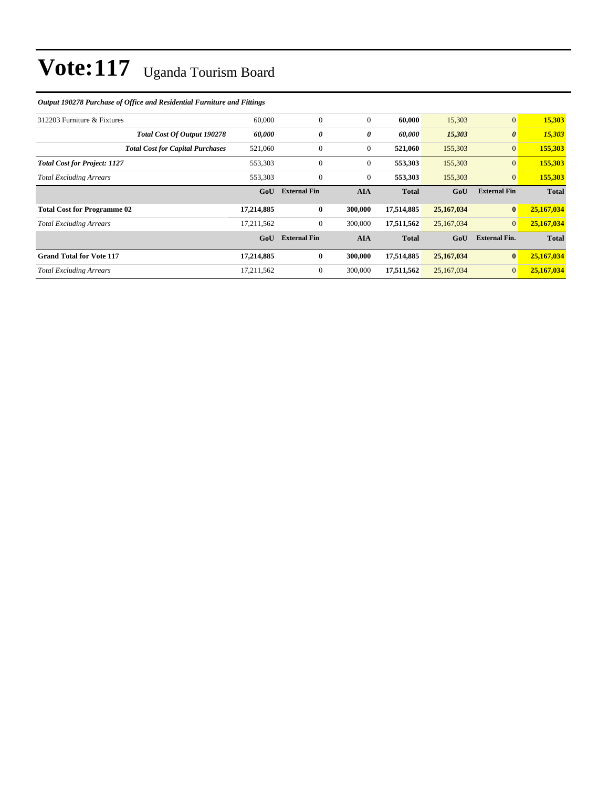#### *Output 190278 Purchase of Office and Residential Furniture and Fittings*

| 312203 Furniture & Fixtures             | 60,000     | $\overline{0}$      | $\mathbf{0}$ | 60,000       | 15,303     | $\mathbf{0}$          | 15,303       |
|-----------------------------------------|------------|---------------------|--------------|--------------|------------|-----------------------|--------------|
| Total Cost Of Output 190278             | 60,000     | 0                   | 0            | 60,000       | 15,303     | $\boldsymbol{\theta}$ | 15,303       |
| <b>Total Cost for Capital Purchases</b> | 521,060    | 0                   | $\mathbf{0}$ | 521,060      | 155,303    | $\mathbf{0}$          | 155,303      |
| <b>Total Cost for Project: 1127</b>     | 553,303    | $\mathbf{0}$        | $\mathbf{0}$ | 553,303      | 155,303    | $\overline{0}$        | 155,303      |
| <b>Total Excluding Arrears</b>          | 553,303    | $\mathbf{0}$        | $\mathbf{0}$ | 553,303      | 155,303    | $\mathbf{0}$          | 155,303      |
|                                         | GoU        | <b>External Fin</b> | <b>AIA</b>   | <b>Total</b> | GoU        | <b>External Fin</b>   | <b>Total</b> |
|                                         |            |                     |              |              |            |                       |              |
| <b>Total Cost for Programme 02</b>      | 17,214,885 | $\bf{0}$            | 300,000      | 17,514,885   | 25,167,034 | $\bf{0}$              | 25,167,034   |
| <b>Total Excluding Arrears</b>          | 17,211,562 | 0                   | 300,000      | 17,511,562   | 25,167,034 | $\mathbf{0}$          | 25,167,034   |
|                                         | GoU        | <b>External Fin</b> | <b>AIA</b>   | <b>Total</b> | GoU        | <b>External Fin.</b>  | <b>Total</b> |
| <b>Grand Total for Vote 117</b>         | 17,214,885 | $\bf{0}$            | 300,000      | 17,514,885   | 25,167,034 | $\bf{0}$              | 25,167,034   |